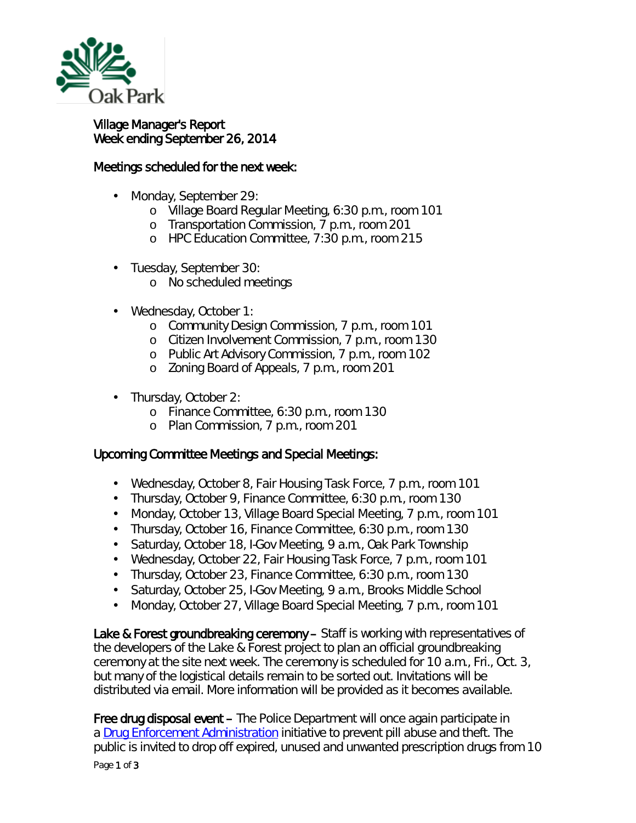

## Village Manager's Report Week ending September 26, 2014

## Meetings scheduled for the next week:

- Monday, September 29:
	- o Village Board Regular Meeting, 6:30 p.m., room 101
	- o Transportation Commission, 7 p.m., room 201
	- o HPC Education Committee, 7:30 p.m., room 215
- Tuesday, September 30: ¥,
	- o No scheduled meetings
- Wednesday, October 1: ä,
	- o Community Design Commission, 7 p.m., room 101
	- o Citizen Involvement Commission, 7 p.m., room 130
	- o Public Art Advisory Commission, 7 p.m., room 102
	- o Zoning Board of Appeals, 7 p.m., room 201
- Thursday, October 2:
	- o Finance Committee, 6:30 p.m., room 130
	- o Plan Commission, 7 p.m., room 201

## Upcoming Committee Meetings and Special Meetings:

- $\mathbf{r}$ Wednesday, October 8, Fair Housing Task Force, 7 p.m., room 101
- Thursday, October 9, Finance Committee, 6:30 p.m., room 130
- Monday, October 13, Village Board Special Meeting, 7 p.m., room 101
- Thursday, October 16, Finance Committee, 6:30 p.m., room 130
- Saturday, October 18, I-Gov Meeting, 9 a.m., Oak Park Township  $\mathbf{r} = \mathbf{r}$
- Wednesday, October 22, Fair Housing Task Force, 7 p.m., room 101
- Thursday, October 23, Finance Committee, 6:30 p.m., room 130  $\mathbf{r}^{\mathrm{max}}$
- Saturday, October 25, I-Gov Meeting, 9 a.m., Brooks Middle School  $\mathbf{r}^{\prime}$
- Monday, October 27, Village Board Special Meeting, 7 p.m., room 101 ä,

Lake & Forest groundbreaking ceremony – Staff is working with representatives of the developers of the Lake & Forest project to plan an official groundbreaking ceremony at the site next week. The ceremony is scheduled for 10 a.m., Fri., Oct. 3, but many of the logistical details remain to be sorted out. Invitations will be distributed via email. More information will be provided as it becomes available.

Page 1 of 3 Free drug disposal event – The Police Department will once again participate in a [Drug Enforcement Administration](http://r20.rs6.net/tn.jsp?e=001LoqJp6Dl8AC4faYphM2MaE_qAkOOOnw-wOceuWcEAGngFsIWuYo7kiayZEhRWLtHmUa7zlwz73-f7oIgzztPWmch0rJuSN4Dn_CWbftATkD_ZZSJdLalCyww7G3Erbnh) initiative to prevent pill abuse and theft. The public is invited to drop off expired, unused and unwanted prescription drugs from 10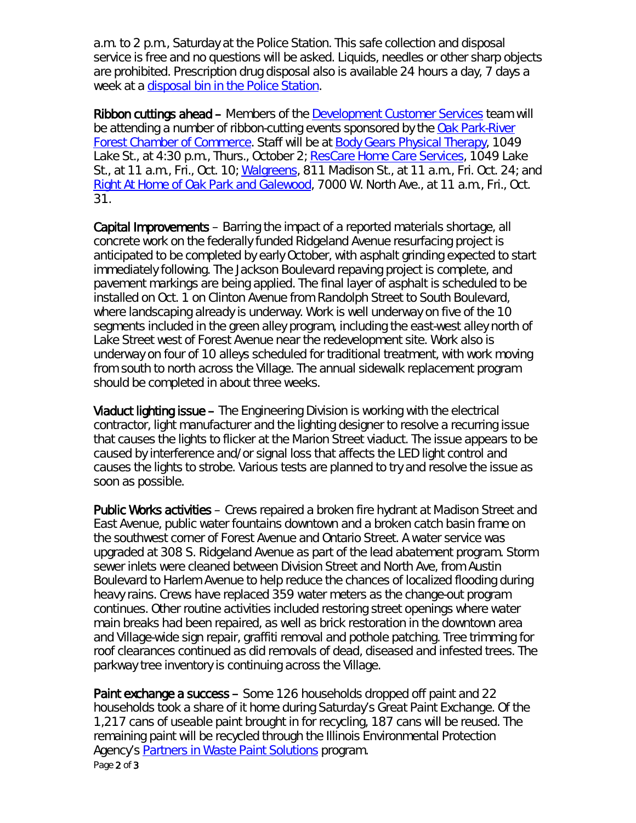a.m. to 2 p.m., Saturday at the Police Station. This safe collection and disposal service is free and no questions will be asked. Liquids, needles or other sharp objects are prohibited. Prescription drug disposal also is available 24 hours a day, 7 days a week at a *disposal bin in the Police Station*.

Ribbon cuttings ahead – Members of the [Development Customer Services](http://www.oak-park.us/village-services/development-customer-services-department) team will be attending a number of ribbon-cutting events sponsored by the [Oak Park-River](http://www.oprfchamber.org/)  [Forest Chamber of Commerce.](http://www.oprfchamber.org/) Staff will be at [Body Gears Physical Therapy,](http://www.bodygears.com/index.html) 1049 Lake St., at 4:30 p.m., Thurs., October 2; [ResCare Home Care](http://www.rescare.com/homecare-services/) Services, 1049 Lake St., at 11 a.m., Fri., Oct. 10; [Walgreens,](http://www.walgreens.com/) 811 Madison St., at 11 a.m., Fri. Oct. 24; and [Right At Home of Oak Park and Galewood,](http://www.rightathome.net/oak-park-chicago/) 7000 W. North Ave., at 11 a.m., Fri., Oct. 31.

Capital Improvements – Barring the impact of a reported materials shortage, all concrete work on the federally funded Ridgeland Avenue resurfacing project is anticipated to be completed by early October, with asphalt grinding expected to start immediately following. The Jackson Boulevard repaving project is complete, and pavement markings are being applied. The final layer of asphalt is scheduled to be installed on Oct. 1 on Clinton Avenue from Randolph Street to South Boulevard, where landscaping already is underway. Work is well underway on five of the 10 segments included in the green alley program, including the east-west alley north of Lake Street west of Forest Avenue near the redevelopment site. Work also is underway on four of 10 alleys scheduled for traditional treatment, with work moving from south to north across the Village. The annual sidewalk replacement program should be completed in about three weeks.

Viaduct lighting issue – The Engineering Division is working with the electrical contractor, light manufacturer and the lighting designer to resolve a recurring issue that causes the lights to flicker at the Marion Street viaduct. The issue appears to be caused by interference and/or signal loss that affects the LED light control and causes the lights to strobe. Various tests are planned to try and resolve the issue as soon as possible.

Public Works activities – Crews repaired a broken fire hydrant at Madison Street and East Avenue, public water fountains downtown and a broken catch basin frame on the southwest corner of Forest Avenue and Ontario Street. A water service was upgraded at 308 S. Ridgeland Avenue as part of the lead abatement program. Storm sewer inlets were cleaned between Division Street and North Ave, from Austin Boulevard to Harlem Avenue to help reduce the chances of localized flooding during heavy rains. Crews have replaced 359 water meters as the change-out program continues. Other routine activities included restoring street openings where water main breaks had been repaired, as well as brick restoration in the downtown area and Village-wide sign repair, graffiti removal and pothole patching. Tree trimming for roof clearances continued as did removals of dead, diseased and infested trees. The parkway tree inventory is continuing across the Village.

Page 2 of 3 Paint exchange a success – Some 126 households dropped off paint and 22 households took a share of it home during Saturday's *Great Paint Exchange*. Of the 1,217 cans of useable paint brought in for recycling, 187 cans will be reused. The remaining paint will be recycled through the Illinois Environmental Protection Agency's [Partners in Waste Paint Solutions](http://www.epa.state.il.us/land/citizen-involvement/paint.html) program.